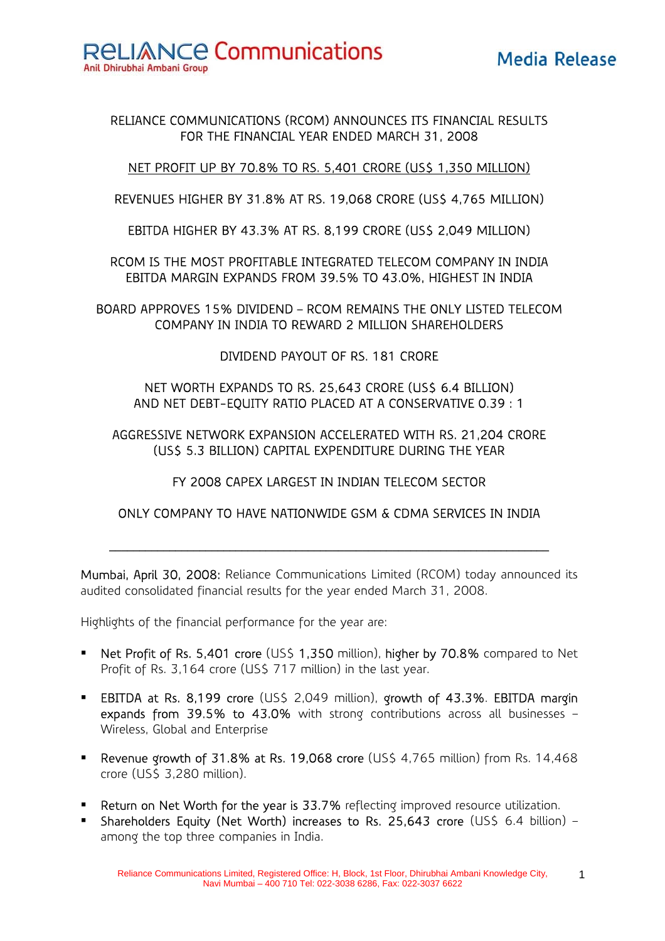**RELIANCE Communications** 

Anil Dhirubhai Ambani Group

#### RELIANCE COMMUNICATIONS (RCOM) ANNOUNCES ITS FINANCIAL RESULTS FOR THE FINANCIAL YEAR ENDED MARCH 31, 2008

#### NET PROFIT UP BY 70.8% TO RS. 5,401 CRORE (US\$ 1,350 MILLION)

REVENUES HIGHER BY 31.8% AT RS. 19,068 CRORE (US\$ 4,765 MILLION)

EBITDA HIGHER BY 43.3% AT RS. 8,199 CRORE (US\$ 2,049 MILLION)

RCOM IS THE MOST PROFITABLE INTEGRATED TELECOM COMPANY IN INDIA EBITDA MARGIN EXPANDS FROM 39.5% TO 43.0%, HIGHEST IN INDIA

BOARD APPROVES 15% DIVIDEND – RCOM REMAINS THE ONLY LISTED TELECOM COMPANY IN INDIA TO REWARD 2 MILLION SHAREHOLDERS

DIVIDEND PAYOUT OF RS. 181 CRORE

NET WORTH EXPANDS TO RS. 25,643 CRORE (US\$ 6.4 BILLION) AND NET DEBT-EQUITY RATIO PLACED AT A CONSERVATIVE 0.39 : 1

AGGRESSIVE NETWORK EXPANSION ACCELERATED WITH RS. 21,204 CRORE (US\$ 5.3 BILLION) CAPITAL EXPENDITURE DURING THE YEAR

FY 2008 CAPEX LARGEST IN INDIAN TELECOM SECTOR

### ONLY COMPANY TO HAVE NATIONWIDE GSM & CDMA SERVICES IN INDIA

 $\mathcal{L}_\text{max}$  and  $\mathcal{L}_\text{max}$  and  $\mathcal{L}_\text{max}$  and  $\mathcal{L}_\text{max}$  and  $\mathcal{L}_\text{max}$  and  $\mathcal{L}_\text{max}$ 

Mumbai, April 30, 2008: Reliance Communications Limited (RCOM) today announced its audited consolidated financial results for the year ended March 31, 2008.

Highlights of the financial performance for the year are:

- Net Profit of Rs. 5,401 crore (US\$ 1,350 million), higher by 70.8% compared to Net Profit of Rs. 3,164 crore (US\$ 717 million) in the last year.
- **EBITDA at Rs. 8,199 crore (US\$ 2,049 million), growth of 43.3%. EBITDA margin** expands from 39.5% to 43.0% with strong contributions across all businesses – Wireless, Global and Enterprise
- Revenue growth of 31.8% at Rs. 19,068 crore (US\$ 4,765 million) from Rs. 14,468 crore (US\$ 3,280 million).
- **Return on Net Worth for the year is 33.7%** reflecting improved resource utilization.
- Shareholders Equity (Net Worth) increases to Rs. 25,643 crore (US\$ 6.4 billion) among the top three companies in India.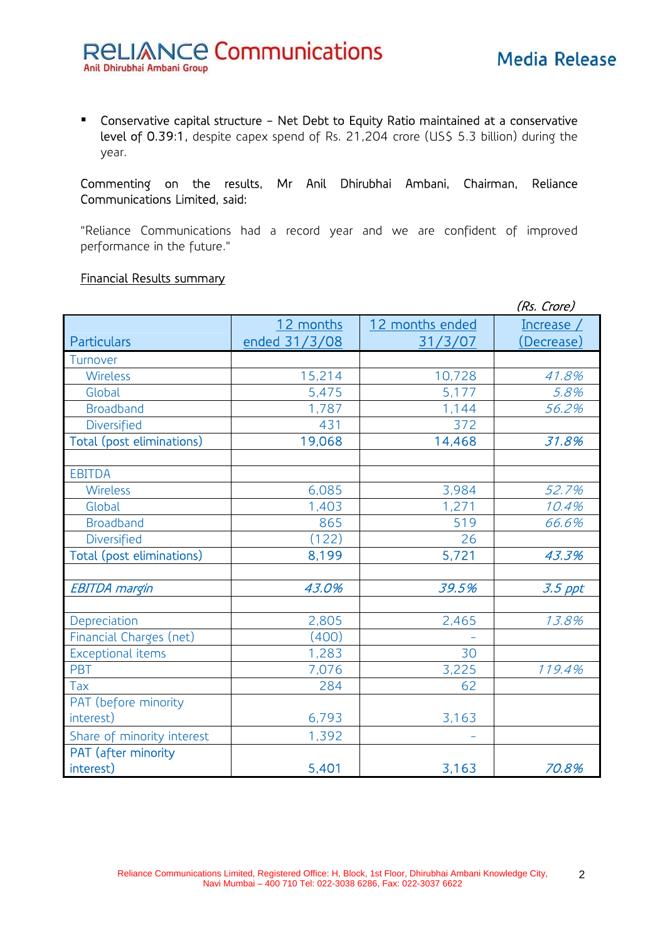Conservative capital structure - Net Debt to Equity Ratio maintained at a conservative level of 0.39:1, despite capex spend of Rs. 21,204 crore (US\$ 5.3 billion) during the year.

#### Commenting on the results, Mr Anil Dhirubhai Ambani, Chairman, Reliance Communications Limited, said:

"Reliance Communications had a record year and we are confident of improved performance in the future."

### Financial Results summary

|                            |               | (Rs. Crore)     |            |  |  |  |
|----------------------------|---------------|-----------------|------------|--|--|--|
|                            | 12 months     | 12 months ended | Increase   |  |  |  |
| <b>Particulars</b>         | ended 31/3/08 | 31/3/07         | (Decrease) |  |  |  |
| Turnover                   |               |                 |            |  |  |  |
| Wireless                   | 15,214        | 10,728          | 41.8%      |  |  |  |
| Global                     | 5,475         | 5,177           | 5.8%       |  |  |  |
| <b>Broadband</b>           | 1,787         | 1,144           | 56.2%      |  |  |  |
| Diversified                | 431           | 372             |            |  |  |  |
| Total (post eliminations)  | 19,068        | 14,468          | 31.8%      |  |  |  |
| <b>EBITDA</b>              |               |                 |            |  |  |  |
| Wireless                   | 6,085         | 3,984           | 52.7%      |  |  |  |
| Global                     | 1,403         | 1,271           | 10.4%      |  |  |  |
| <b>Broadband</b>           | 865           | 519             | 66.6%      |  |  |  |
| Diversified                | (122)         | 26              |            |  |  |  |
| Total (post eliminations)  | 8,199         | 5,721           | 43.3%      |  |  |  |
| <b>EBITDA</b> margin       | 43.0%         | 39.5%           | $3.5$ ppt  |  |  |  |
| Depreciation               | 2,805         | 2,465           | 13.8%      |  |  |  |
| Financial Charges (net)    | (400)         |                 |            |  |  |  |
| Exceptional items          | 1,283         | 30              |            |  |  |  |
| PBT                        | 7,076         | 3,225           | 119.4%     |  |  |  |
| Tax                        | 284           | 62              |            |  |  |  |
| PAT (before minority       |               |                 |            |  |  |  |
| interest)                  | 6,793         | 3,163           |            |  |  |  |
| Share of minority interest | 1,392         |                 |            |  |  |  |
| PAT (after minority        |               |                 |            |  |  |  |
| interest)                  | 5,401         | 3,163           | 70.8%      |  |  |  |

2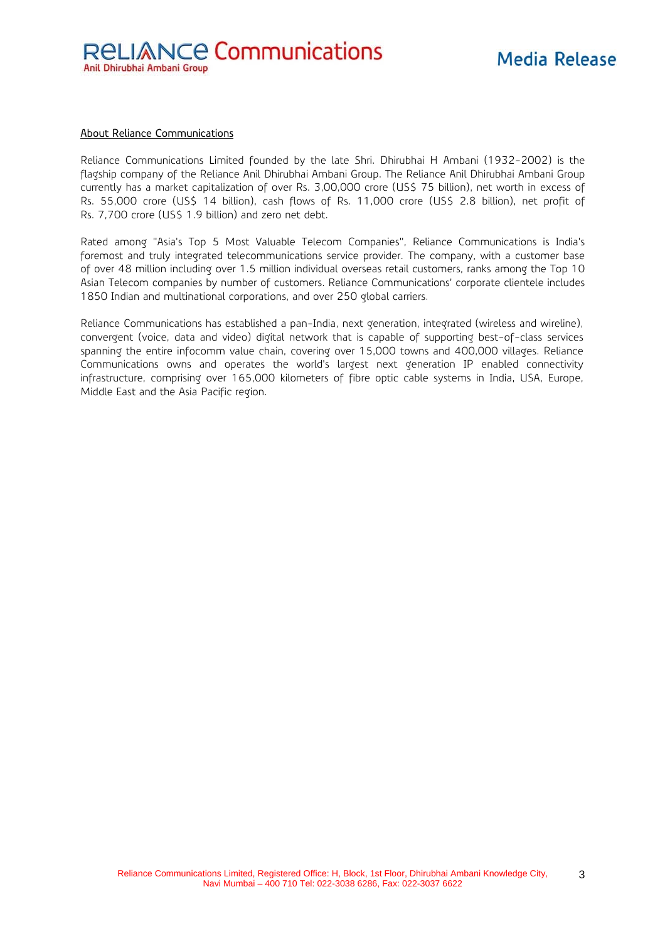#### About Reliance Communications

Reliance Communications Limited founded by the late Shri. Dhirubhai H Ambani (1932-2002) is the flagship company of the Reliance Anil Dhirubhai Ambani Group. The Reliance Anil Dhirubhai Ambani Group currently has a market capitalization of over Rs. 3,00,000 crore (US\$ 75 billion), net worth in excess of Rs. 55,000 crore (US\$ 14 billion), cash flows of Rs. 11,000 crore (US\$ 2.8 billion), net profit of Rs. 7,700 crore (US\$ 1.9 billion) and zero net debt.

Rated among "Asia's Top 5 Most Valuable Telecom Companies", Reliance Communications is India's foremost and truly integrated telecommunications service provider. The company, with a customer base of over 48 million including over 1.5 million individual overseas retail customers, ranks among the Top 10 Asian Telecom companies by number of customers. Reliance Communications' corporate clientele includes 1850 Indian and multinational corporations, and over 250 global carriers.

Reliance Communications has established a pan-India, next generation, integrated (wireless and wireline), convergent (voice, data and video) digital network that is capable of supporting best-of-class services spanning the entire infocomm value chain, covering over 15,000 towns and 400,000 villages. Reliance Communications owns and operates the world's largest next generation IP enabled connectivity infrastructure, comprising over 165,000 kilometers of fibre optic cable systems in India, USA, Europe, Middle East and the Asia Pacific region.